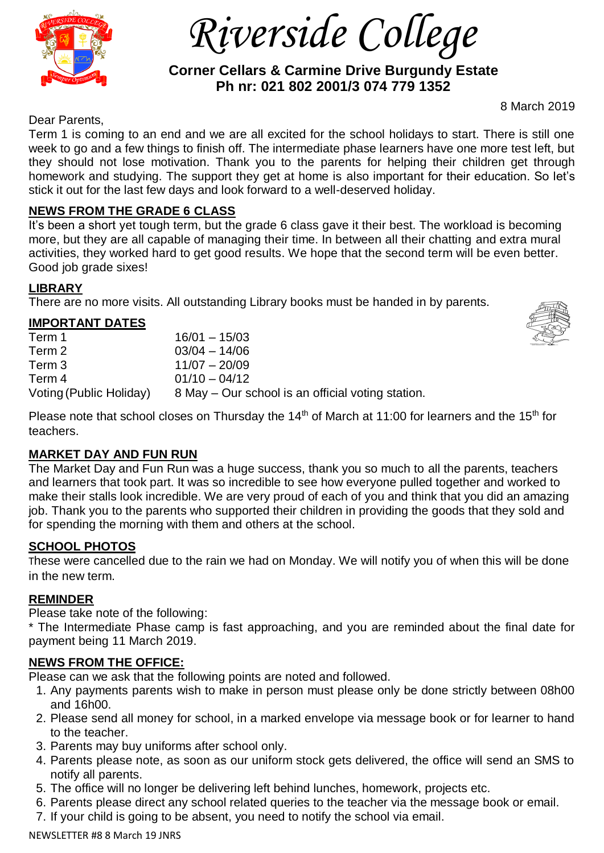

 *Riverside College*

 **Corner Cellars & Carmine Drive Burgundy Estate Ph nr: 021 802 2001/3 074 779 1352**

8 March 2019

Dear Parents,

Term 1 is coming to an end and we are all excited for the school holidays to start. There is still one week to go and a few things to finish off. The intermediate phase learners have one more test left, but they should not lose motivation. Thank you to the parents for helping their children get through homework and studying. The support they get at home is also important for their education. So let's stick it out for the last few days and look forward to a well-deserved holiday.

#### **NEWS FROM THE GRADE 6 CLASS**

It's been a short yet tough term, but the grade 6 class gave it their best. The workload is becoming more, but they are all capable of managing their time. In between all their chatting and extra mural activities, they worked hard to get good results. We hope that the second term will be even better. Good job grade sixes!

# **LIBRARY**

There are no more visits. All outstanding Library books must be handed in by parents.

# **IMPORTANT DATES**

| Term 1                  | $16/01 - 15/03$                                   |
|-------------------------|---------------------------------------------------|
| Term 2                  | $03/04 - 14/06$                                   |
| Term 3                  | $11/07 - 20/09$                                   |
| Term 4                  | $01/10 - 04/12$                                   |
| Voting (Public Holiday) | 8 May – Our school is an official voting station. |



# **MARKET DAY AND FUN RUN**

The Market Day and Fun Run was a huge success, thank you so much to all the parents, teachers and learners that took part. It was so incredible to see how everyone pulled together and worked to make their stalls look incredible. We are very proud of each of you and think that you did an amazing job. Thank you to the parents who supported their children in providing the goods that they sold and for spending the morning with them and others at the school.

# **SCHOOL PHOTOS**

These were cancelled due to the rain we had on Monday. We will notify you of when this will be done in the new term.

# **REMINDER**

Please take note of the following:

\* The Intermediate Phase camp is fast approaching, and you are reminded about the final date for payment being 11 March 2019.

# **NEWS FROM THE OFFICE:**

Please can we ask that the following points are noted and followed.

- 1. Any payments parents wish to make in person must please only be done strictly between 08h00 and 16h00.
- 2. Please send all money for school, in a marked envelope via message book or for learner to hand to the teacher.
- 3. Parents may buy uniforms after school only.
- 4. Parents please note, as soon as our uniform stock gets delivered, the office will send an SMS to notify all parents.
- 5. The office will no longer be delivering left behind lunches, homework, projects etc.
- 6. Parents please direct any school related queries to the teacher via the message book or email.
- 7. If your child is going to be absent, you need to notify the school via email.

NEWSLETTER #8 8 March 19 JNRS